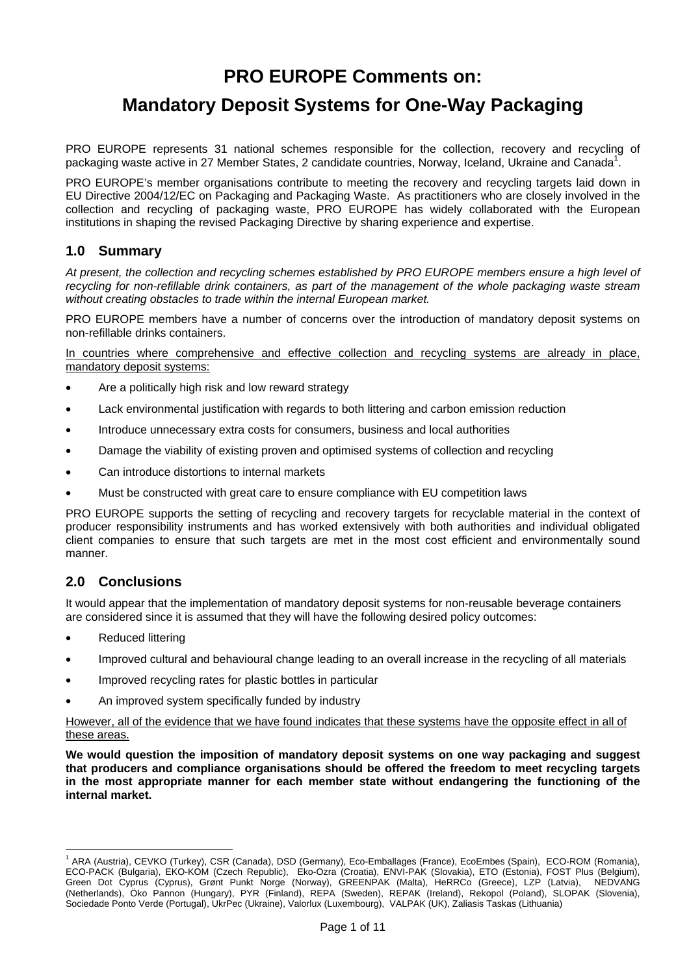# **PRO EUROPE Comments on:**

# **Mandatory Deposit Systems for One-Way Packaging**

PRO EUROPE represents 31 national schemes responsible for the collection, recovery and recycling of packaging waste active in 27 Member States, 2 candidate countries, Norway, Iceland, Ukraine and Canada<sup>1</sup>.

PRO EUROPE's member organisations contribute to meeting the recovery and recycling targets laid down in EU Directive 2004/12/EC on Packaging and Packaging Waste. As practitioners who are closely involved in the collection and recycling of packaging waste, PRO EUROPE has widely collaborated with the European institutions in shaping the revised Packaging Directive by sharing experience and expertise.

## **1.0 Summary**

*At present, the collection and recycling schemes established by PRO EUROPE members ensure a high level of recycling for non-refillable drink containers, as part of the management of the whole packaging waste stream without creating obstacles to trade within the internal European market.* 

PRO EUROPE members have a number of concerns over the introduction of mandatory deposit systems on non-refillable drinks containers.

In countries where comprehensive and effective collection and recycling systems are already in place, mandatory deposit systems:

- Are a politically high risk and low reward strategy
- Lack environmental justification with regards to both littering and carbon emission reduction
- Introduce unnecessary extra costs for consumers, business and local authorities
- Damage the viability of existing proven and optimised systems of collection and recycling
- Can introduce distortions to internal markets
- Must be constructed with great care to ensure compliance with EU competition laws

PRO EUROPE supports the setting of recycling and recovery targets for recyclable material in the context of producer responsibility instruments and has worked extensively with both authorities and individual obligated client companies to ensure that such targets are met in the most cost efficient and environmentally sound manner.

## **2.0 Conclusions**

It would appear that the implementation of mandatory deposit systems for non-reusable beverage containers are considered since it is assumed that they will have the following desired policy outcomes:

- Reduced littering
- Improved cultural and behavioural change leading to an overall increase in the recycling of all materials
- Improved recycling rates for plastic bottles in particular
- An improved system specifically funded by industry

However, all of the evidence that we have found indicates that these systems have the opposite effect in all of these areas.

**We would question the imposition of mandatory deposit systems on one way packaging and suggest that producers and compliance organisations should be offered the freedom to meet recycling targets in the most appropriate manner for each member state without endangering the functioning of the internal market.** 

<span id="page-0-0"></span> 1 ARA (Austria), CEVKO (Turkey), CSR (Canada), DSD (Germany), Eco-Emballages (France), EcoEmbes (Spain), ECO-ROM (Romania), ECO-PACK (Bulgaria), EKO-KOM (Czech Republic), Eko-Ozra (Croatia), ENVI-PAK (Slovakia), ETO (Estonia), FOST Plus (Belgium), Green Dot Cyprus (Cyprus), Grønt Punkt Norge (Norway), GREENPAK (Malta), HeRRCo (Greece), LZP (Latvia), NEDVANG (Netherlands), Öko Pannon (Hungary), PYR (Finland), REPA (Sweden), REPAK (Ireland), Rekopol (Poland), SLOPAK (Slovenia), Sociedade Ponto Verde (Portugal), UkrPec (Ukraine), Valorlux (Luxembourg), VALPAK (UK), Zaliasis Taskas (Lithuania)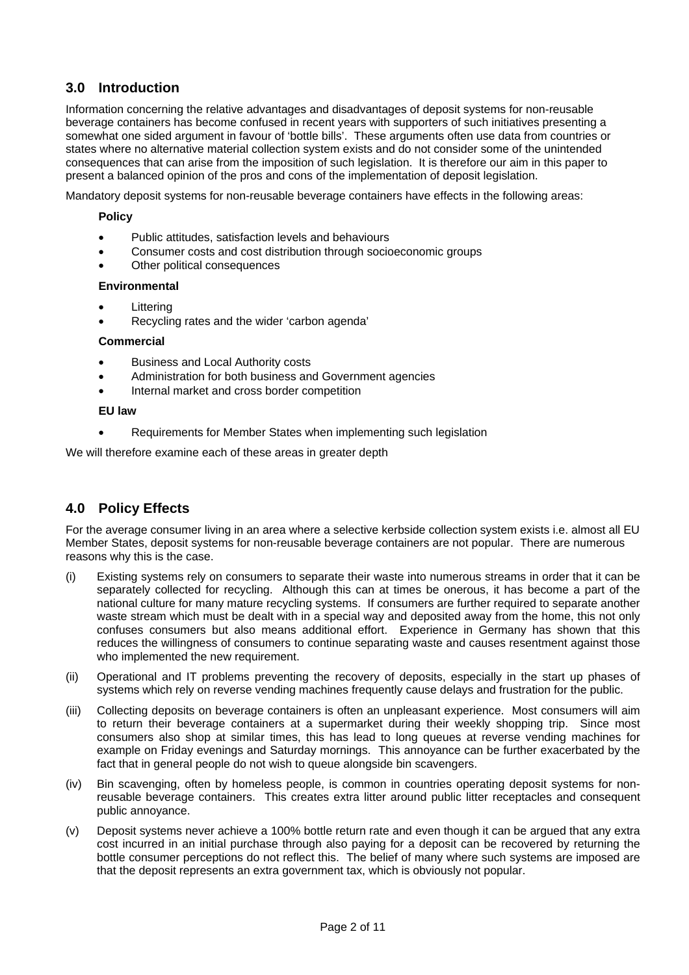## **3.0 Introduction**

Information concerning the relative advantages and disadvantages of deposit systems for non-reusable beverage containers has become confused in recent years with supporters of such initiatives presenting a somewhat one sided argument in favour of 'bottle bills'. These arguments often use data from countries or states where no alternative material collection system exists and do not consider some of the unintended consequences that can arise from the imposition of such legislation. It is therefore our aim in this paper to present a balanced opinion of the pros and cons of the implementation of deposit legislation.

Mandatory deposit systems for non-reusable beverage containers have effects in the following areas:

#### **Policy**

- Public attitudes, satisfaction levels and behaviours
- Consumer costs and cost distribution through socioeconomic groups
- Other political consequences

#### **Environmental**

- **Littering**
- Recycling rates and the wider 'carbon agenda'

#### **Commercial**

- Business and Local Authority costs
- Administration for both business and Government agencies
- Internal market and cross border competition

#### **EU law**

Requirements for Member States when implementing such legislation

We will therefore examine each of these areas in greater depth

## **4.0 Policy Effects**

For the average consumer living in an area where a selective kerbside collection system exists i.e. almost all EU Member States, deposit systems for non-reusable beverage containers are not popular. There are numerous reasons why this is the case.

- (i) Existing systems rely on consumers to separate their waste into numerous streams in order that it can be separately collected for recycling. Although this can at times be onerous, it has become a part of the national culture for many mature recycling systems. If consumers are further required to separate another waste stream which must be dealt with in a special way and deposited away from the home, this not only confuses consumers but also means additional effort. Experience in Germany has shown that this reduces the willingness of consumers to continue separating waste and causes resentment against those who implemented the new requirement.
- (ii) Operational and IT problems preventing the recovery of deposits, especially in the start up phases of systems which rely on reverse vending machines frequently cause delays and frustration for the public.
- (iii) Collecting deposits on beverage containers is often an unpleasant experience. Most consumers will aim to return their beverage containers at a supermarket during their weekly shopping trip. Since most consumers also shop at similar times, this has lead to long queues at reverse vending machines for example on Friday evenings and Saturday mornings. This annoyance can be further exacerbated by the fact that in general people do not wish to queue alongside bin scavengers.
- (iv) Bin scavenging, often by homeless people, is common in countries operating deposit systems for nonreusable beverage containers. This creates extra litter around public litter receptacles and consequent public annoyance.
- (v) Deposit systems never achieve a 100% bottle return rate and even though it can be argued that any extra cost incurred in an initial purchase through also paying for a deposit can be recovered by returning the bottle consumer perceptions do not reflect this. The belief of many where such systems are imposed are that the deposit represents an extra government tax, which is obviously not popular.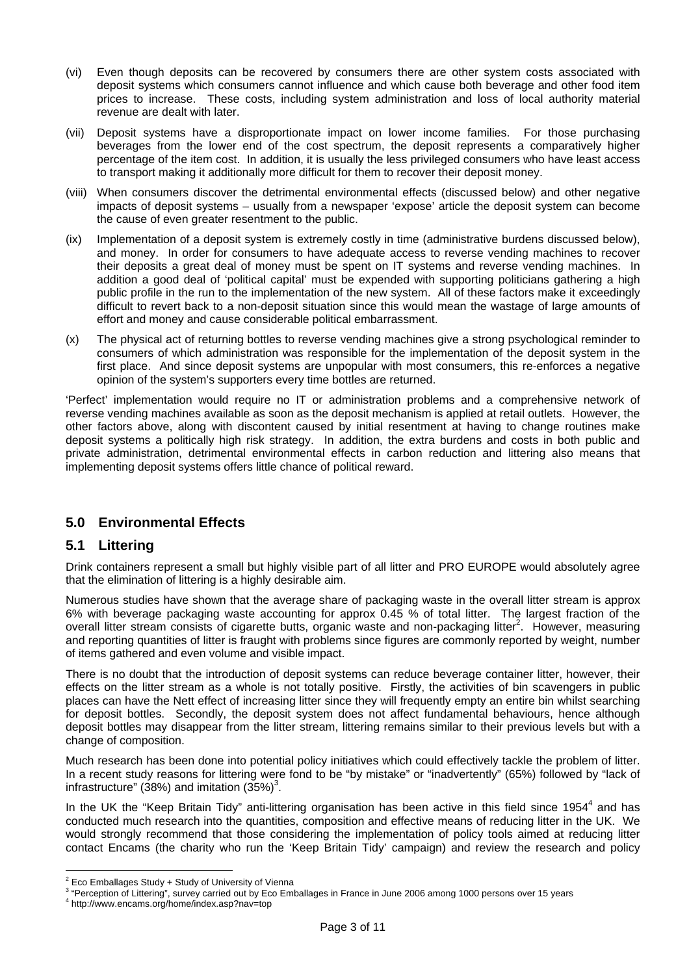- (vi) Even though deposits can be recovered by consumers there are other system costs associated with deposit systems which consumers cannot influence and which cause both beverage and other food item prices to increase. These costs, including system administration and loss of local authority material revenue are dealt with later.
- (vii) Deposit systems have a disproportionate impact on lower income families. For those purchasing beverages from the lower end of the cost spectrum, the deposit represents a comparatively higher percentage of the item cost. In addition, it is usually the less privileged consumers who have least access to transport making it additionally more difficult for them to recover their deposit money.
- (viii) When consumers discover the detrimental environmental effects (discussed below) and other negative impacts of deposit systems – usually from a newspaper 'expose' article the deposit system can become the cause of even greater resentment to the public.
- (ix) Implementation of a deposit system is extremely costly in time (administrative burdens discussed below), and money. In order for consumers to have adequate access to reverse vending machines to recover their deposits a great deal of money must be spent on IT systems and reverse vending machines. In addition a good deal of 'political capital' must be expended with supporting politicians gathering a high public profile in the run to the implementation of the new system. All of these factors make it exceedingly difficult to revert back to a non-deposit situation since this would mean the wastage of large amounts of effort and money and cause considerable political embarrassment.
- (x) The physical act of returning bottles to reverse vending machines give a strong psychological reminder to consumers of which administration was responsible for the implementation of the deposit system in the first place. And since deposit systems are unpopular with most consumers, this re-enforces a negative opinion of the system's supporters every time bottles are returned.

'Perfect' implementation would require no IT or administration problems and a comprehensive network of reverse vending machines available as soon as the deposit mechanism is applied at retail outlets. However, the other factors above, along with discontent caused by initial resentment at having to change routines make deposit systems a politically high risk strategy. In addition, the extra burdens and costs in both public and private administration, detrimental environmental effects in carbon reduction and littering also means that implementing deposit systems offers little chance of political reward.

## **5.0 Environmental Effects**

## **5.1 Littering**

Drink containers represent a small but highly visible part of all litter and PRO EUROPE would absolutely agree that the elimination of littering is a highly desirable aim.

Numerous studies have shown that the average share of packaging waste in the overall litter stream is approx 6% with beverage packaging waste accounting for approx 0.45 % of total litter. The largest fraction of the overall litter stream consists of cigarette butts, organic waste and non-packaging litter<sup>2</sup>[.](#page-2-0) However, measuring and reporting quantities of litter is fraught with problems since figures are commonly reported by weight, number of items gathered and even volume and visible impact.

There is no doubt that the introduction of deposit systems can reduce beverage container litter, however, their effects on the litter stream as a whole is not totally positive. Firstly, the activities of bin scavengers in public places can have the Nett effect of increasing litter since they will frequently empty an entire bin whilst searching for deposit bottles. Secondly, the deposit system does not affect fundamental behaviours, hence although deposit bottles may disappear from the litter stream, littering remains similar to their previous levels but with a change of composition.

Much research has been done into potential policy initiatives which could effectively tackle the problem of litter. In a recent study reasons for littering were fond to be "by mistake" or "inadvertently" (65%) followed by "lack of infrastructure" (38%) and imitation  $(35%)^3$ [.](#page-2-1)

In the UK the "Keep Britain Tidy" anti-littering organisation has been active in this field since 195[4](#page-2-2)<sup>4</sup> and has conducted much research into the quantities, composition and effective means of reducing litter in the UK. We would strongly recommend that those considering the implementation of policy tools aimed at reducing litter contact Encams (the charity who run the 'Keep Britain Tidy' campaign) and review the research and policy

 $\overline{a}$ 

<span id="page-2-0"></span> $\frac{2}{3}$  Eco Emballages Study + Study of University of Vienna<br> $\frac{3}{3}$  "Descention of Litterian", our review corried out by Eco Emb

<span id="page-2-1"></span><sup>&</sup>quot;Perception of Littering", survey carried out by Eco Emballages in France in June 2006 among 1000 persons over 15 years

<span id="page-2-2"></span>http://www.encams.org/home/index.asp?nav=top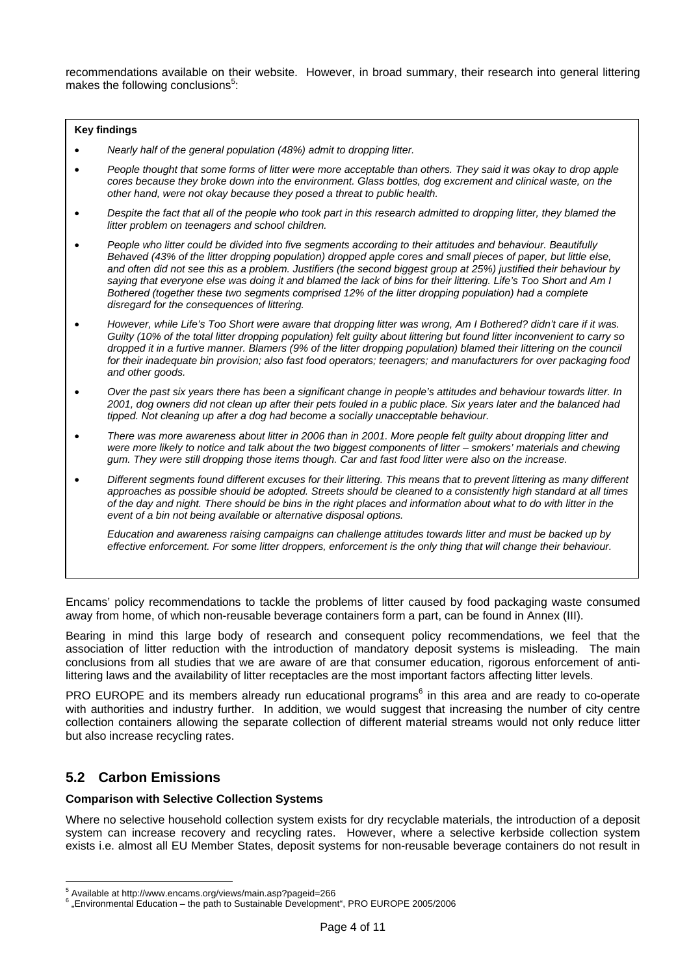recommendations available on their website. However, in broad summary, their research into general littering makes the following conclusions $5$ :

#### **Key findings**

- *Nearly half of the general population (48%) admit to dropping litter.*
- *People thought that some forms of litter were more acceptable than others. They said it was okay to drop apple cores because they broke down into the environment. Glass bottles, dog excrement and clinical waste, on the other hand, were not okay because they posed a threat to public health.*
- *Despite the fact that all of the people who took part in this research admitted to dropping litter, they blamed the litter problem on teenagers and school children.*
- *People who litter could be divided into five segments according to their attitudes and behaviour. Beautifully Behaved (43% of the litter dropping population) dropped apple cores and small pieces of paper, but little else, and often did not see this as a problem. Justifiers (the second biggest group at 25%) justified their behaviour by saying that everyone else was doing it and blamed the lack of bins for their littering. Life's Too Short and Am I Bothered (together these two segments comprised 12% of the litter dropping population) had a complete disregard for the consequences of littering.*
- *However, while Life's Too Short were aware that dropping litter was wrong, Am I Bothered? didn't care if it was. Guilty (10% of the total litter dropping population) felt guilty about littering but found litter inconvenient to carry so dropped it in a furtive manner. Blamers (9% of the litter dropping population) blamed their littering on the council for their inadequate bin provision; also fast food operators; teenagers; and manufacturers for over packaging food and other goods.*
- *Over the past six years there has been a significant change in people's attitudes and behaviour towards litter. In 2001, dog owners did not clean up after their pets fouled in a public place. Six years later and the balanced had tipped. Not cleaning up after a dog had become a socially unacceptable behaviour.*
- *There was more awareness about litter in 2006 than in 2001. More people felt guilty about dropping litter and were more likely to notice and talk about the two biggest components of litter – smokers' materials and chewing gum. They were still dropping those items though. Car and fast food litter were also on the increase.*
- *[Different segments found different excuses for their littering. This means that to prevent littering as many different](#page-0-0)  approaches as possible should be adopted. Streets should be cleaned to a consistently high standard at all times of the day and night. There should be bins in the right places and information about what to do with litter in the event of a bin not being available or alternative disposal options.*

*Education and awareness raising campaigns can challenge attitudes towards litter and must be backed up by effective enforcement. For some litter droppers, enforcement is the only thing that will change their behaviour.* 

Encams' policy recommendations to tackle the problems of litter caused by food packaging waste consumed away from home, of which non-reusable beverage containers form a part, can be found in Annex (III).

Bearing in mind this large body of research and consequent policy recommendations, we feel that the association of litter reduction with the introduction of mandatory deposit systems is misleading. The main conclusions from all studies that we are aware of are that consumer education, rigorous enforcement of antilittering laws and the availability of litter receptacles are the most important factors affecting litter levels.

PRO EUROPE and its members already run educational programs<sup>[6](#page-3-1)</sup> in this area and are ready to co-operate with authorities and industry further. In addition, we would suggest that increasing the number of city centre collection containers allowing the separate collection of different material streams would not only reduce litter but also increase recycling rates.

### **5.2 Carbon Emissions**

#### **Comparison with Selective Collection Systems**

Where no selective household collection system exists for dry recyclable materials, the introduction of a deposit system can increase recovery and recycling rates. However, where a selective kerbside collection system exists i.e. almost all EU Member States, deposit systems for non-reusable beverage containers do not result in

 $\overline{a}$ 5 Available at http://www.encams.org/views/main.asp?pageid=266 6

<span id="page-3-1"></span><span id="page-3-0"></span><sup>&</sup>quot;Environmental Education – the path to Sustainable Development", PRO EUROPE 2005/2006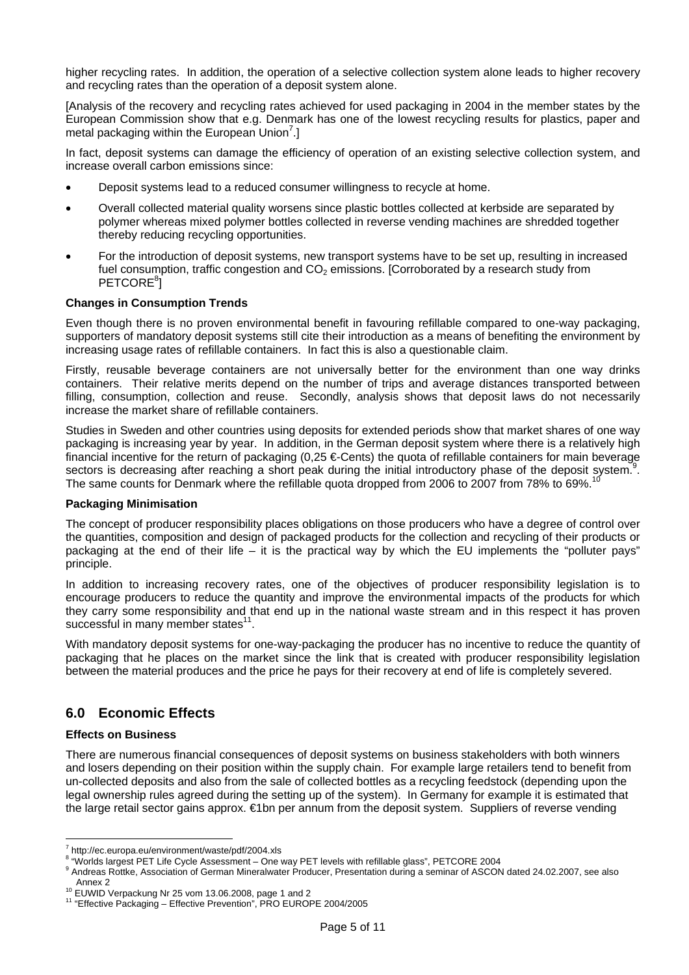higher recycling rates. In addition, the operation of a selective collection system alone leads to higher recovery and recycling rates than the operation of a deposit system alone.

[Analysis of the recovery and recycling rates achieved for used packaging in 2004 in the member states by the European Commission show that e.g. Denmark has one of the lowest recycling results for plastics, paper and metal packaging within the European Union<sup>[7](#page-4-0)</sup>.]

In fact, deposit systems can damage the efficiency of operation of an existing selective collection system, and increase overall carbon emissions since:

- Deposit systems lead to a reduced consumer willingness to recycle at home.
- Overall collected material quality worsens since plastic bottles collected at kerbside are separated by polymer whereas mixed polymer bottles collected in reverse vending machines are shredded together thereby reducing recycling opportunities.
- For the introduction of deposit systems, new transport systems have to be set up, resulting in increased fuel consumption, traffic congestion and  $CO<sub>2</sub>$  emissions. [Corroborated by a research study from PETCORE<sup>[8](#page-4-1)</sup>]

#### **Changes in Consumption Trends**

Even though there is no proven environmental benefit in favouring refillable compared to one-way packaging, supporters of mandatory deposit systems still cite their introduction as a means of benefiting the environment by increasing usage rates of refillable containers. In fact this is also a questionable claim.

Firstly, reusable beverage containers are not universally better for the environment than one way drinks containers. Their relative merits depend on the number of trips and average distances transported between filling, consumption, collection and reuse. Secondly, analysis shows that deposit laws do not necessarily increase the market share of refillable containers.

Studies in Sweden and other countries using deposits for extended periods show that market shares of one way packaging is increasing year by year. In addition, in the German deposit system where there is a relatively high financial incentive for the return of packaging (0,25 €-Cents) the quota of refillable containers for main beverage sectors is decreasing after reaching a short peak during the initial introductory phase of the deposit system.<sup>[9](#page-4-2)</sup>. The same counts for Denmark where the refillable quota dropped from 2006 to 2007 from 78% to 69%.

#### **Packaging Minimisation**

The concept of producer responsibility places obligations on those producers who have a degree of control over the quantities, composition and design of packaged products for the collection and recycling of their products or packaging at the end of their life – it is the practical way by which the EU implements the "polluter pays" principle.

In addition to increasing recovery rates, one of the objectives of producer responsibility legislation is to encourage producers to reduce the quantity and improve the environmental impacts of the products for which they carry some responsibility and that end up in the national waste stream and in this respect it has proven successful in many member states $11$ .

With mandatory deposit systems for one-way-packaging the producer has no incentive to reduce the quantity of packaging that he places on the market since the link that is created with producer responsibility legislation between the material produces and the price he pays for their recovery at end of life is completely severed.

## **6.0 Economic Effects**

#### **Effects on Business**

There are numerous financial consequences of deposit systems on business stakeholders with both winners and losers depending on their position within the supply chain. For example large retailers tend to benefit from un-collected deposits and also from the sale of collected bottles as a recycling feedstock (depending upon the legal ownership rules agreed during the setting up of the system). In Germany for example it is estimated that the large retail sector gains approx. €1bn per annum from the deposit system. Suppliers of reverse vending

<sup>&</sup>lt;sup>7</sup><br>http://ec.europa.eu/environment/waste/pdf/2004.xls<br><sup>8 </sup> "Warlda Israest PET Life Cycle Assessment....Che.y

<span id="page-4-1"></span><span id="page-4-0"></span><sup>&</sup>quot;Meritorious displaces of the Civile Civile Assessment – One way PET levels with refillable glass", PETCORE 2004

<span id="page-4-2"></span><sup>&</sup>lt;sup>9</sup> Andreas Rottke, Association of German Mineralwater Producer, Presentation during a seminar of ASCON dated 24.02.2007, see also Annex 2<br><sup>10</sup> EUWID Verpackung Nr 25 vom 13.06.2008, page 1 and 2<br><sup>11</sup> "Effective Packaging – Effective Prevention", PRO EUROPE 2004/2005

<span id="page-4-3"></span>

<span id="page-4-4"></span>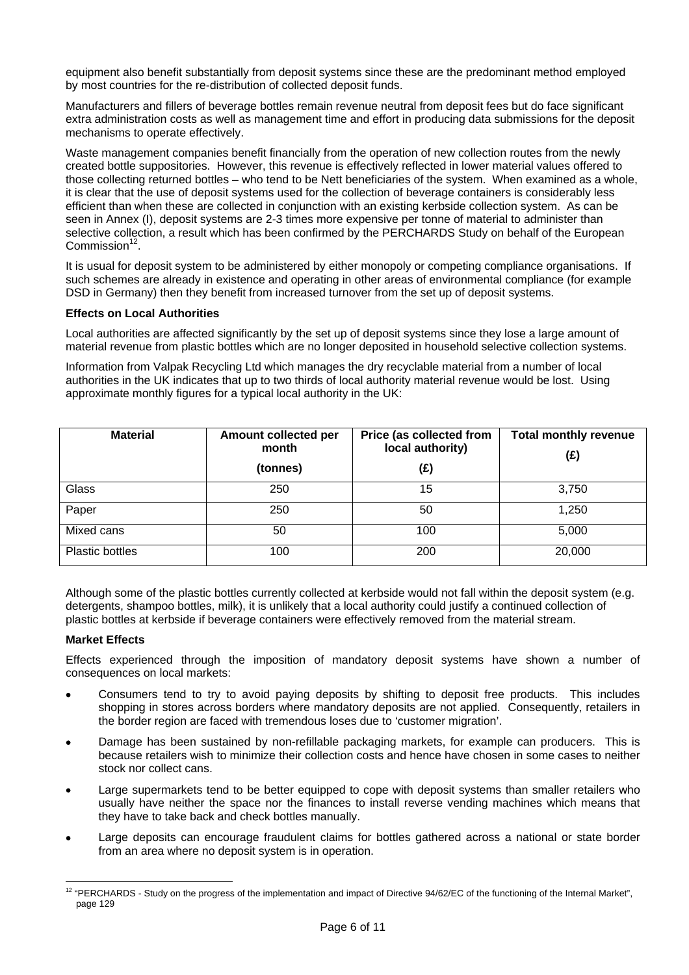equipment also benefit substantially from deposit systems since these are the predominant method employed by most countries for the re-distribution of collected deposit funds.

Manufacturers and fillers of beverage bottles remain revenue neutral from deposit fees but do face significant extra administration costs as well as management time and effort in producing data submissions for the deposit mechanisms to operate effectively.

Waste management companies benefit financially from the operation of new collection routes from the newly created bottle suppositories. However, this revenue is effectively reflected in lower material values offered to those collecting returned bottles – who tend to be Nett beneficiaries of the system. When examined as a whole, it is clear that the use of deposit systems used for the collection of beverage containers is considerably less efficient than when these are collected in conjunction with an existing kerbside collection system. As can be seen in Annex (I), deposit systems are 2-3 times more expensive per tonne of material to administer than selective collection, a result which has been confirmed by the PERCHARDS Study on behalf of the European Commission $12$ .

It is usual for deposit system to be administered by either monopoly or competing compliance organisations. If such schemes are already in existence and operating in other areas of environmental compliance (for example DSD in Germany) then they benefit from increased turnover from the set up of deposit systems.

### **Effects on Local Authorities**

Local authorities are affected significantly by the set up of deposit systems since they lose a large amount of material revenue from plastic bottles which are no longer deposited in household selective collection systems.

Information from Valpak Recycling Ltd which manages the dry recyclable material from a number of local authorities in the UK indicates that up to two thirds of local authority material revenue would be lost. Using approximate monthly figures for a typical local authority in the UK:

| <b>Material</b>        | Amount collected per<br>month<br>(tonnes) | Price (as collected from<br>local authority)<br>(£) | <b>Total monthly revenue</b><br>(£) |
|------------------------|-------------------------------------------|-----------------------------------------------------|-------------------------------------|
| Glass                  | 250                                       | 15                                                  | 3,750                               |
| Paper                  | 250                                       | 50                                                  | 1,250                               |
| Mixed cans             | 50                                        | 100                                                 | 5,000                               |
| <b>Plastic bottles</b> | 100                                       | 200                                                 | 20,000                              |

Although some of the plastic bottles currently collected at kerbside would not fall within the deposit system (e.g. detergents, shampoo bottles, milk), it is unlikely that a local authority could justify a continued collection of plastic bottles at kerbside if beverage containers were effectively removed from the material stream.

### **Market Effects**

Effects experienced through the imposition of mandatory deposit systems have shown a number of consequences on local markets:

- Consumers tend to try to avoid paying deposits by shifting to deposit free products. This includes shopping in stores across borders where mandatory deposits are not applied. Consequently, retailers in the border region are faced with tremendous loses due to 'customer migration'.
- Damage has been sustained by non-refillable packaging markets, for example can producers. This is because retailers wish to minimize their collection costs and hence have chosen in some cases to neither stock nor collect cans.
- Large supermarkets tend to be better equipped to cope with deposit systems than smaller retailers who usually have neither the space nor the finances to install reverse vending machines which means that they have to take back and check bottles manually.
- Large deposits can encourage fraudulent claims for bottles gathered across a national or state border from an area where no deposit system is in operation.

<span id="page-5-0"></span> $\overline{a}$  $12$  "PERCHARDS - Study on the progress of the implementation and impact of Directive 94/62/EC of the functioning of the Internal Market", page 129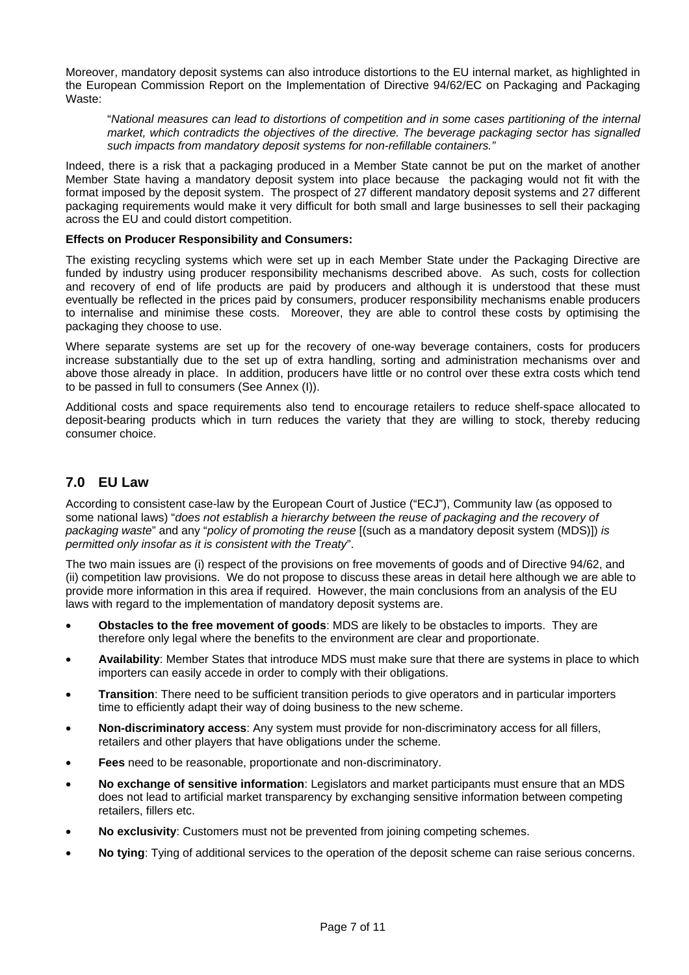Moreover, mandatory deposit systems can also introduce distortions to the EU internal market, as highlighted in the European Commission Report on the Implementation of Directive 94/62/EC on Packaging and Packaging Waste:

"*National measures can lead to distortions of competition and in some cases partitioning of the internal market, which contradicts the objectives of the directive. The beverage packaging sector has signalled such impacts from mandatory deposit systems for non-refillable containers."*

Indeed, there is a risk that a packaging produced in a Member State cannot be put on the market of another Member State having a mandatory deposit system into place because the packaging would not fit with the format imposed by the deposit system. The prospect of 27 different mandatory deposit systems and 27 different packaging requirements would make it very difficult for both small and large businesses to sell their packaging across the EU and could distort competition.

#### **Effects on Producer Responsibility and Consumers:**

The existing recycling systems which were set up in each Member State under the Packaging Directive are funded by industry using producer responsibility mechanisms described above. As such, costs for collection and recovery of end of life products are paid by producers and although it is understood that these must eventually be reflected in the prices paid by consumers, producer responsibility mechanisms enable producers to internalise and minimise these costs. Moreover, they are able to control these costs by optimising the packaging they choose to use.

Where separate systems are set up for the recovery of one-way beverage containers, costs for producers increase substantially due to the set up of extra handling, sorting and administration mechanisms over and above those already in place. In addition, producers have little or no control over these extra costs which tend to be passed in full to consumers (See Annex (I)).

Additional costs and space requirements also tend to encourage retailers to reduce shelf-space allocated to deposit-bearing products which in turn reduces the variety that they are willing to stock, thereby reducing consumer choice.

## **7.0 EU Law**

According to consistent case-law by the European Court of Justice ("ECJ"), Community law (as opposed to some national laws) "*does not establish a hierarchy between the reuse of packaging and the recovery of packaging waste*" and any "*policy of promoting the reuse* [(such as a mandatory deposit system (MDS)]) *is permitted only insofar as it is consistent with the Treaty*".

The two main issues are (i) respect of the provisions on free movements of goods and of Directive 94/62, and (ii) competition law provisions. We do not propose to discuss these areas in detail here although we are able to provide more information in this area if required. However, the main conclusions from an analysis of the EU laws with regard to the implementation of mandatory deposit systems are.

- **Obstacles to the free movement of goods**: MDS are likely to be obstacles to imports. They are therefore only legal where the benefits to the environment are clear and proportionate.
- **Availability**: Member States that introduce MDS must make sure that there are systems in place to which importers can easily accede in order to comply with their obligations.
- **Transition**: There need to be sufficient transition periods to give operators and in particular importers time to efficiently adapt their way of doing business to the new scheme.
- **Non-discriminatory access**: Any system must provide for non-discriminatory access for all fillers, retailers and other players that have obligations under the scheme.
- **Fees** need to be reasonable, proportionate and non-discriminatory.
- **No exchange of sensitive information**: Legislators and market participants must ensure that an MDS does not lead to artificial market transparency by exchanging sensitive information between competing retailers, fillers etc.
- **No exclusivity**: Customers must not be prevented from joining competing schemes.
- **No tying**: Tying of additional services to the operation of the deposit scheme can raise serious concerns.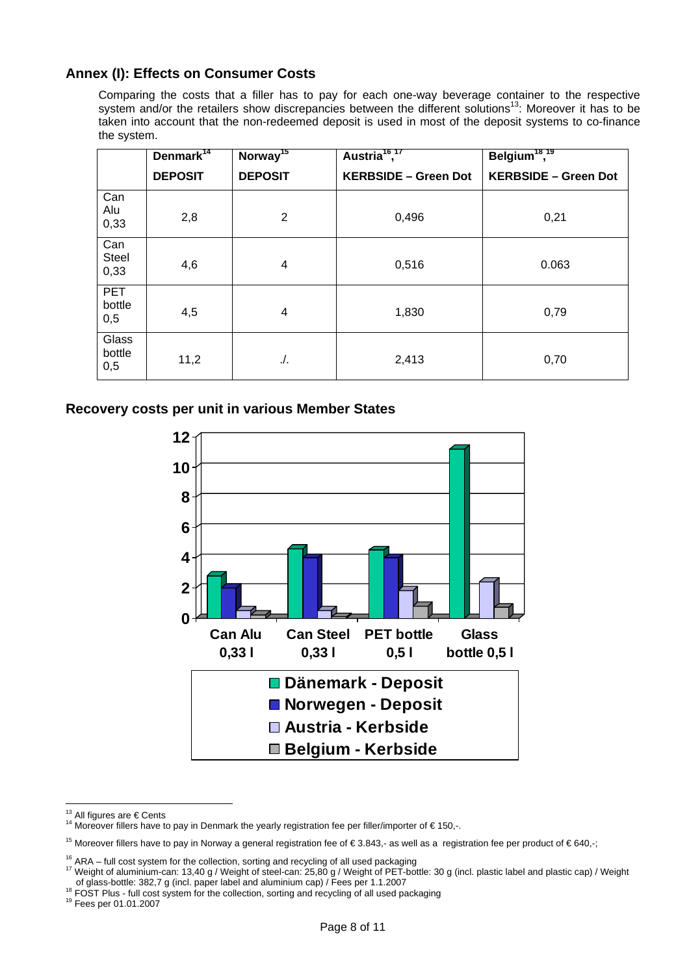## **Annex (I): Effects on Consumer Costs**

Comparing the costs that a filler has to pay for each one-way beverage container to the respective system and/or the retailers show discrepancies between the different solutions<sup>13</sup>: Moreover it has to be taken into account that the non-redeemed deposit is used in most of the deposit systems to co-finance the system.

|                             | Denmark <sup>14</sup> | Norway <sup>15</sup> | Austria <sup>16,17</sup>    | Belgium <sup>18,19</sup>    |
|-----------------------------|-----------------------|----------------------|-----------------------------|-----------------------------|
|                             | <b>DEPOSIT</b>        | <b>DEPOSIT</b>       | <b>KERBSIDE - Green Dot</b> | <b>KERBSIDE - Green Dot</b> |
| Can<br>Alu<br>0,33          | 2,8                   | $\overline{2}$       | 0,496                       | 0,21                        |
| Can<br><b>Steel</b><br>0,33 | 4,6                   | 4                    | 0,516                       | 0.063                       |
| <b>PET</b><br>bottle<br>0,5 | 4,5                   | 4                    | 1,830                       | 0,79                        |
| Glass<br>bottle<br>0,5      | 11,2                  | $\Lambda$ .          | 2,413                       | 0,70                        |

**Recovery costs per unit in various Member States** 



<span id="page-7-0"></span><sup>&</sup>lt;sup>13</sup> All figures are € Cents

<span id="page-7-6"></span>

<span id="page-7-1"></span><sup>14</sup> Moreover fillers have to pay in Denmark the yearly registration fee per filler/importer of  $\epsilon$  150,-.

<span id="page-7-2"></span><sup>&</sup>lt;sup>15</sup> Moreover fillers have to pay in Norway a general registration fee of €3.843,- as well as a registration fee per product of €640,-;

<span id="page-7-4"></span><span id="page-7-3"></span>

<sup>&</sup>lt;sup>16</sup> ARA – full cost system for the collection, sorting and recycling of all used packaging<br><sup>17</sup> Weight of aluminium-can: 13,40 g / Weight of steel-can: 25,80 g / Weight of PET-bottle: 30 g (incl. plastic label and plasti

<span id="page-7-5"></span><sup>&</sup>lt;sup>18</sup> FOST Plus - full cost system for the collection, sorting and recycling of all used packaging <sup>19</sup> Fees per 01.01.2007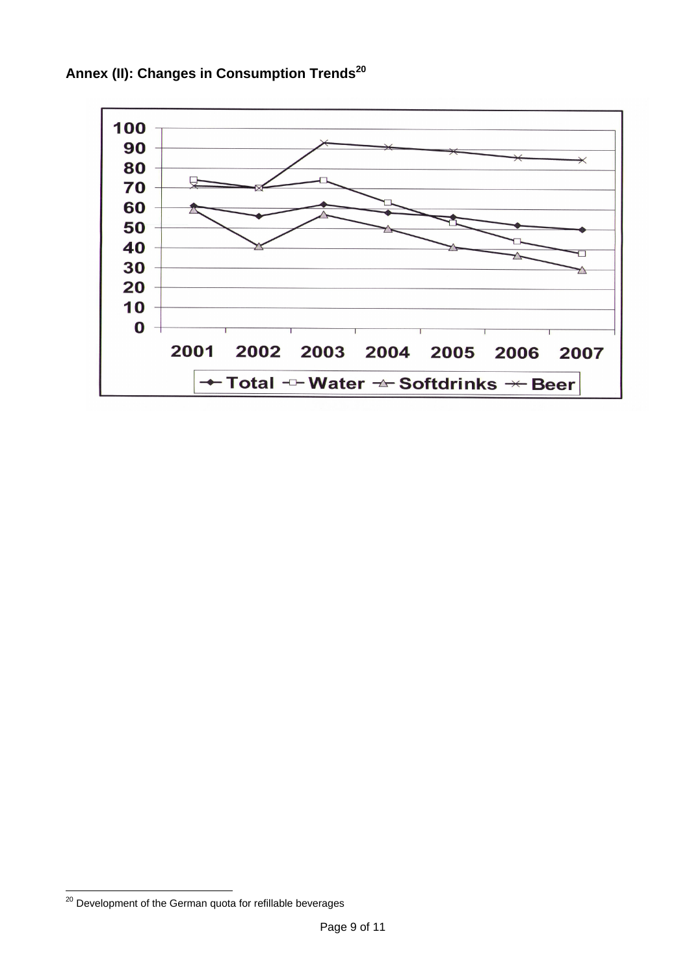

**Annex (II): Changes in Consumption Trends[20](#page-8-0)**

 $\overline{a}$ 

<span id="page-8-0"></span><sup>&</sup>lt;sup>20</sup> Development of the German quota for refillable beverages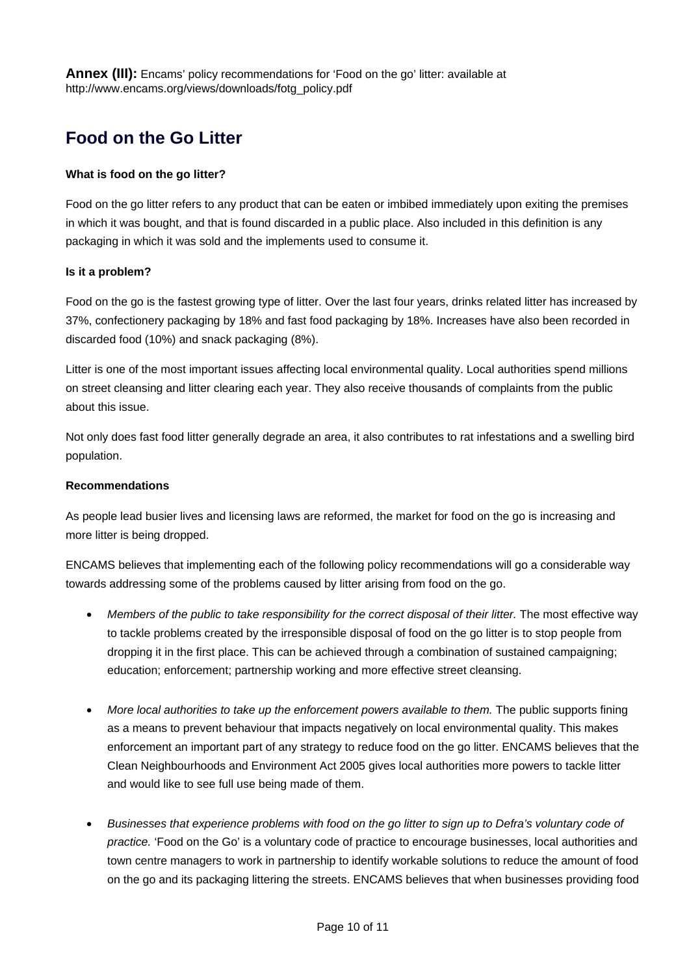**Annex (III):** Encams' policy recommendations for 'Food on the go' litter: available at http://www.encams.org/views/downloads/fotg\_policy.pdf

# **Food on the Go Litter**

#### **What is food on the go litter?**

Food on the go litter refers to any product that can be eaten or imbibed immediately upon exiting the premises in which it was bought, and that is found discarded in a public place. Also included in this definition is any packaging in which it was sold and the implements used to consume it.

#### **Is it a problem?**

Food on the go is the fastest growing type of litter. Over the last four years, drinks related litter has increased by 37%, confectionery packaging by 18% and fast food packaging by 18%. Increases have also been recorded in discarded food (10%) and snack packaging (8%).

Litter is one of the most important issues affecting local environmental quality. Local authorities spend millions on street cleansing and litter clearing each year. They also receive thousands of complaints from the public about this issue.

Not only does fast food litter generally degrade an area, it also contributes to rat infestations and a swelling bird population.

#### **Recommendations**

As people lead busier lives and licensing laws are reformed, the market for food on the go is increasing and more litter is being dropped.

ENCAMS believes that implementing each of the following policy recommendations will go a considerable way towards addressing some of the problems caused by litter arising from food on the go.

- *Members of the public to take responsibility for the correct disposal of their litter.* The most effective way to tackle problems created by the irresponsible disposal of food on the go litter is to stop people from dropping it in the first place. This can be achieved through a combination of sustained campaigning; education; enforcement; partnership working and more effective street cleansing.
- *More local authorities to take up the enforcement powers available to them.* The public supports fining as a means to prevent behaviour that impacts negatively on local environmental quality. This makes enforcement an important part of any strategy to reduce food on the go litter. ENCAMS believes that the Clean Neighbourhoods and Environment Act 2005 gives local authorities more powers to tackle litter and would like to see full use being made of them.
- *Businesses that experience problems with food on the go litter to sign up to Defra's voluntary code of practice.* 'Food on the Go' is a voluntary code of practice to encourage businesses, local authorities and town centre managers to work in partnership to identify workable solutions to reduce the amount of food on the go and its packaging littering the streets. ENCAMS believes that when businesses providing food